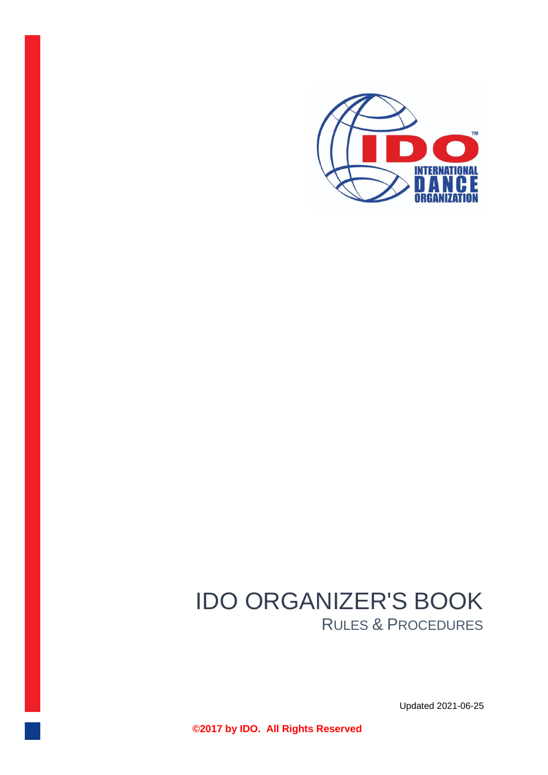

# IDO ORGANIZER'S BOOK RULES & PROCEDURES

Updated 2021-06-25

**©2017 by IDO. All Rights Reserved**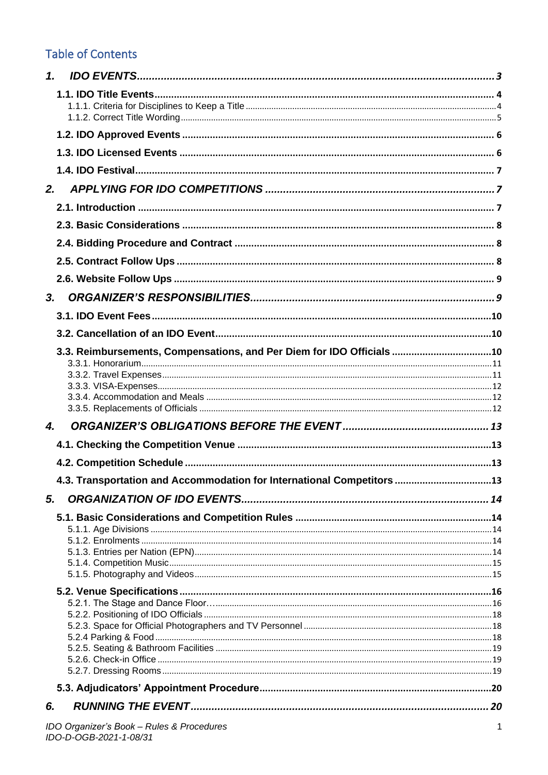## **Table of Contents**

| 1. |                                                                        |  |
|----|------------------------------------------------------------------------|--|
|    |                                                                        |  |
|    |                                                                        |  |
|    |                                                                        |  |
|    |                                                                        |  |
|    |                                                                        |  |
|    | 2.                                                                     |  |
|    |                                                                        |  |
|    |                                                                        |  |
|    |                                                                        |  |
|    |                                                                        |  |
|    |                                                                        |  |
|    | 3.                                                                     |  |
|    |                                                                        |  |
|    |                                                                        |  |
|    | 3.3. Reimbursements, Compensations, and Per Diem for IDO Officials 10  |  |
|    |                                                                        |  |
|    |                                                                        |  |
|    |                                                                        |  |
|    |                                                                        |  |
| 4. |                                                                        |  |
|    |                                                                        |  |
|    |                                                                        |  |
|    | 4.3. Transportation and Accommodation for International Competitors 13 |  |
| 5. |                                                                        |  |
|    |                                                                        |  |
|    |                                                                        |  |
|    |                                                                        |  |
|    |                                                                        |  |
|    |                                                                        |  |
|    |                                                                        |  |
|    |                                                                        |  |
|    |                                                                        |  |
|    |                                                                        |  |
|    |                                                                        |  |
|    |                                                                        |  |
|    |                                                                        |  |
| 6. |                                                                        |  |
|    |                                                                        |  |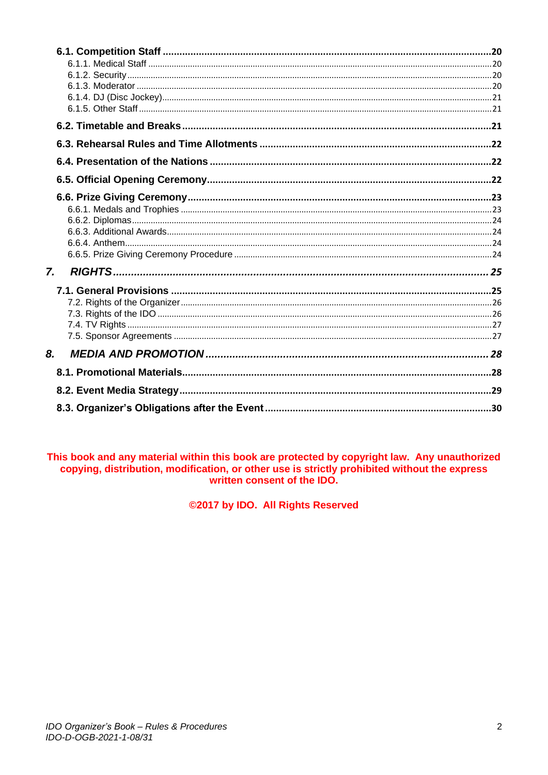| 7. |  |
|----|--|
|    |  |
|    |  |
|    |  |
|    |  |
|    |  |
| 8. |  |
|    |  |
|    |  |
|    |  |

This book and any material within this book are protected by copyright law. Any unauthorized copying, distribution, modification, or other use is strictly prohibited without the express written consent of the IDO.

@2017 by IDO. All Rights Reserved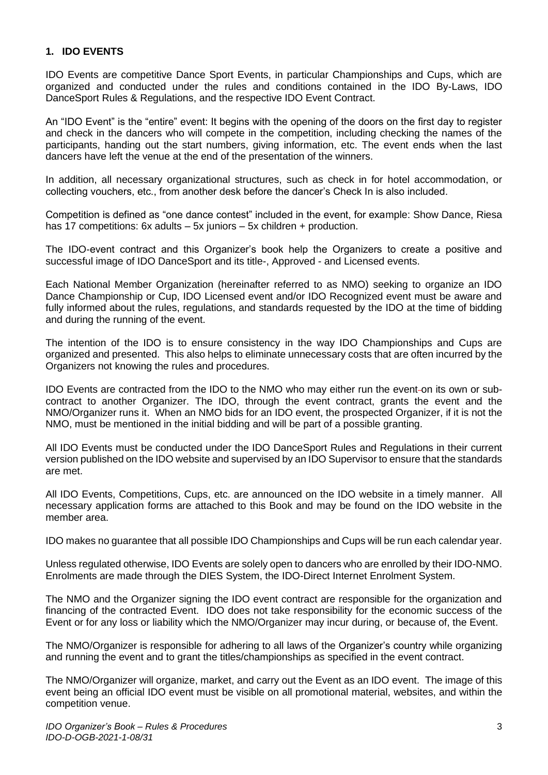#### <span id="page-3-0"></span>**1. IDO EVENTS**

IDO Events are competitive Dance Sport Events, in particular Championships and Cups, which are organized and conducted under the rules and conditions contained in the IDO By-Laws, IDO DanceSport Rules & Regulations, and the respective IDO Event Contract.

An "IDO Event" is the "entire" event: It begins with the opening of the doors on the first day to register and check in the dancers who will compete in the competition, including checking the names of the participants, handing out the start numbers, giving information, etc. The event ends when the last dancers have left the venue at the end of the presentation of the winners.

In addition, all necessary organizational structures, such as check in for hotel accommodation, or collecting vouchers, etc., from another desk before the dancer's Check In is also included.

Competition is defined as "one dance contest" included in the event, for example: Show Dance, Riesa has 17 competitions: 6x adults – 5x juniors – 5x children + production.

The IDO-event contract and this Organizer's book help the Organizers to create a positive and successful image of IDO DanceSport and its title-, Approved - and Licensed events.

Each National Member Organization (hereinafter referred to as NMO) seeking to organize an IDO Dance Championship or Cup, IDO Licensed event and/or IDO Recognized event must be aware and fully informed about the rules, regulations, and standards requested by the IDO at the time of bidding and during the running of the event.

The intention of the IDO is to ensure consistency in the way IDO Championships and Cups are organized and presented. This also helps to eliminate unnecessary costs that are often incurred by the Organizers not knowing the rules and procedures.

IDO Events are contracted from the IDO to the NMO who may either run the event-on its own or subcontract to another Organizer. The IDO, through the event contract, grants the event and the NMO/Organizer runs it. When an NMO bids for an IDO event, the prospected Organizer, if it is not the NMO, must be mentioned in the initial bidding and will be part of a possible granting.

All IDO Events must be conducted under the IDO DanceSport Rules and Regulations in their current version published on the IDO website and supervised by an IDO Supervisor to ensure that the standards are met.

All IDO Events, Competitions, Cups, etc. are announced on the IDO website in a timely manner. All necessary application forms are attached to this Book and may be found on the IDO website in the member area.

IDO makes no guarantee that all possible IDO Championships and Cups will be run each calendar year.

Unless regulated otherwise, IDO Events are solely open to dancers who are enrolled by their IDO-NMO. Enrolments are made through the DIES System, the IDO-Direct Internet Enrolment System.

The NMO and the Organizer signing the IDO event contract are responsible for the organization and financing of the contracted Event. IDO does not take responsibility for the economic success of the Event or for any loss or liability which the NMO/Organizer may incur during, or because of, the Event.

The NMO/Organizer is responsible for adhering to all laws of the Organizer's country while organizing and running the event and to grant the titles/championships as specified in the event contract.

The NMO/Organizer will organize, market, and carry out the Event as an IDO event. The image of this event being an official IDO event must be visible on all promotional material, websites, and within the competition venue.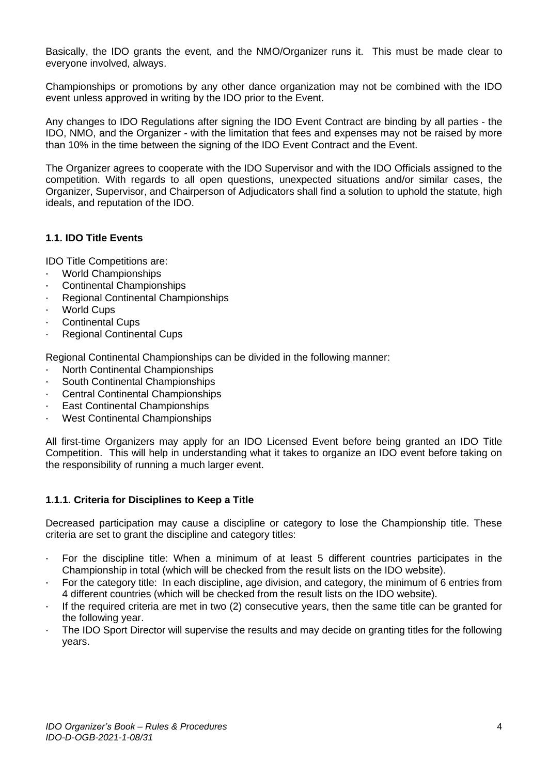Basically, the IDO grants the event, and the NMO/Organizer runs it. This must be made clear to everyone involved, always.

Championships or promotions by any other dance organization may not be combined with the IDO event unless approved in writing by the IDO prior to the Event.

Any changes to IDO Regulations after signing the IDO Event Contract are binding by all parties - the IDO, NMO, and the Organizer - with the limitation that fees and expenses may not be raised by more than 10% in the time between the signing of the IDO Event Contract and the Event.

The Organizer agrees to cooperate with the IDO Supervisor and with the IDO Officials assigned to the competition. With regards to all open questions, unexpected situations and/or similar cases, the Organizer, Supervisor, and Chairperson of Adjudicators shall find a solution to uphold the statute, high ideals, and reputation of the IDO.

## <span id="page-4-0"></span>**1.1. IDO Title Events**

IDO Title Competitions are:

- · World Championships
- · Continental Championships
- Regional Continental Championships
- World Cups
- Continental Cups
- **Regional Continental Cups**

Regional Continental Championships can be divided in the following manner:

- · North Continental Championships
- South Continental Championships
- **Central Continental Championships**
- **East Continental Championships**
- West Continental Championships

All first-time Organizers may apply for an IDO Licensed Event before being granted an IDO Title Competition. This will help in understanding what it takes to organize an IDO event before taking on the responsibility of running a much larger event.

## <span id="page-4-1"></span>**1.1.1. Criteria for Disciplines to Keep a Title**

Decreased participation may cause a discipline or category to lose the Championship title. These criteria are set to grant the discipline and category titles:

- · For the discipline title: When a minimum of at least 5 different countries participates in the Championship in total (which will be checked from the result lists on the IDO website).
- · For the category title: In each discipline, age division, and category, the minimum of 6 entries from 4 different countries (which will be checked from the result lists on the IDO website).
- $\cdot$  If the required criteria are met in two (2) consecutive years, then the same title can be granted for the following year.
- The IDO Sport Director will supervise the results and may decide on granting titles for the following years.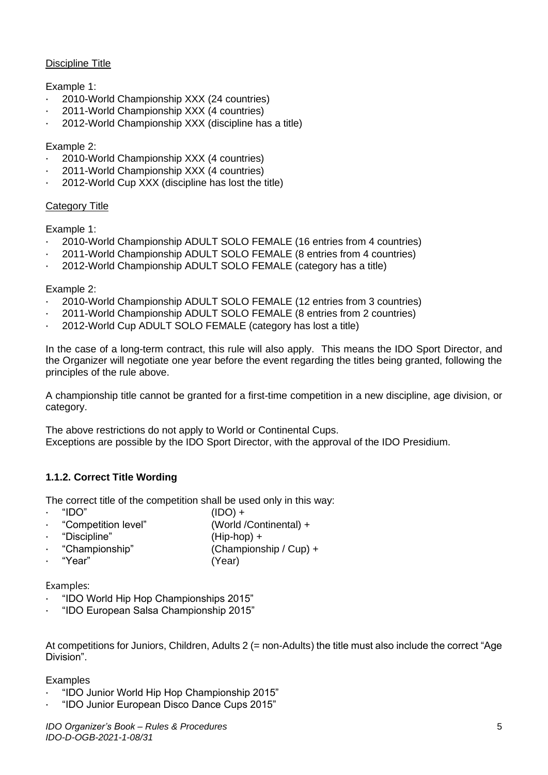#### Discipline Title

## Example 1:

- · 2010-World Championship XXX (24 countries)
- · 2011-World Championship XXX (4 countries)
- · 2012-World Championship XXX (discipline has a title)

## Example 2:

- · 2010-World Championship XXX (4 countries)
- · 2011-World Championship XXX (4 countries)
- · 2012-World Cup XXX (discipline has lost the title)

## Category Title

Example 1:

- · 2010-World Championship ADULT SOLO FEMALE (16 entries from 4 countries)
- · 2011-World Championship ADULT SOLO FEMALE (8 entries from 4 countries)
- · 2012-World Championship ADULT SOLO FEMALE (category has a title)

#### Example 2:

- · 2010-World Championship ADULT SOLO FEMALE (12 entries from 3 countries)
- · 2011-World Championship ADULT SOLO FEMALE (8 entries from 2 countries)
- · 2012-World Cup ADULT SOLO FEMALE (category has lost a title)

In the case of a long-term contract, this rule will also apply. This means the IDO Sport Director, and the Organizer will negotiate one year before the event regarding the titles being granted, following the principles of the rule above.

A championship title cannot be granted for a first-time competition in a new discipline, age division, or category.

The above restrictions do not apply to World or Continental Cups. Exceptions are possible by the IDO Sport Director, with the approval of the IDO Presidium.

## <span id="page-5-0"></span>**1.1.2. Correct Title Wording**

The correct title of the competition shall be used only in this way:

- $\text{``IDO''}$  (IDO) +
	- · "Competition level" (World /Continental) +
- · "Discipline" (Hip-hop) +
- · "Championship" (Championship / Cup) +
- · "Year" (Year)

Examples:

- · "IDO World Hip Hop Championships 2015"
- · "IDO European Salsa Championship 2015"

At competitions for Juniors, Children, Adults 2 (= non-Adults) the title must also include the correct "Age Division".

#### Examples

- · "IDO Junior World Hip Hop Championship 2015"
- · "IDO Junior European Disco Dance Cups 2015"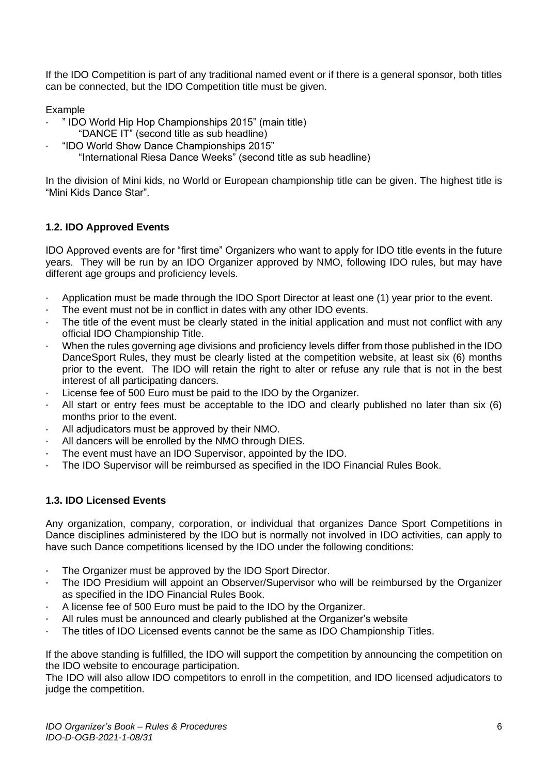If the IDO Competition is part of any traditional named event or if there is a general sponsor, both titles can be connected, but the IDO Competition title must be given.

Example

- · " IDO World Hip Hop Championships 2015" (main title)
- "DANCE IT" (second title as sub headline)
- · "IDO World Show Dance Championships 2015"
	- "International Riesa Dance Weeks" (second title as sub headline)

In the division of Mini kids, no World or European championship title can be given. The highest title is "Mini Kids Dance Star".

## <span id="page-6-0"></span>**1.2. IDO Approved Events**

IDO Approved events are for "first time" Organizers who want to apply for IDO title events in the future years. They will be run by an IDO Organizer approved by NMO, following IDO rules, but may have different age groups and proficiency levels.

- · Application must be made through the IDO Sport Director at least one (1) year prior to the event.
- The event must not be in conflict in dates with any other IDO events.
- The title of the event must be clearly stated in the initial application and must not conflict with any official IDO Championship Title.
- · When the rules governing age divisions and proficiency levels differ from those published in the IDO DanceSport Rules, they must be clearly listed at the competition website, at least six (6) months prior to the event. The IDO will retain the right to alter or refuse any rule that is not in the best interest of all participating dancers.
- License fee of 500 Euro must be paid to the IDO by the Organizer.
- All start or entry fees must be acceptable to the IDO and clearly published no later than six (6) months prior to the event.
- · All adjudicators must be approved by their NMO.
- · All dancers will be enrolled by the NMO through DIES.
- The event must have an IDO Supervisor, appointed by the IDO.
- The IDO Supervisor will be reimbursed as specified in the IDO Financial Rules Book.

## <span id="page-6-1"></span>**1.3. IDO Licensed Events**

Any organization, company, corporation, or individual that organizes Dance Sport Competitions in Dance disciplines administered by the IDO but is normally not involved in IDO activities, can apply to have such Dance competitions licensed by the IDO under the following conditions:

- · The Organizer must be approved by the IDO Sport Director.
- The IDO Presidium will appoint an Observer/Supervisor who will be reimbursed by the Organizer as specified in the IDO Financial Rules Book.
- · A license fee of 500 Euro must be paid to the IDO by the Organizer.
- All rules must be announced and clearly published at the Organizer's website
- The titles of IDO Licensed events cannot be the same as IDO Championship Titles.

If the above standing is fulfilled, the IDO will support the competition by announcing the competition on the IDO website to encourage participation.

The IDO will also allow IDO competitors to enroll in the competition, and IDO licensed adjudicators to judge the competition.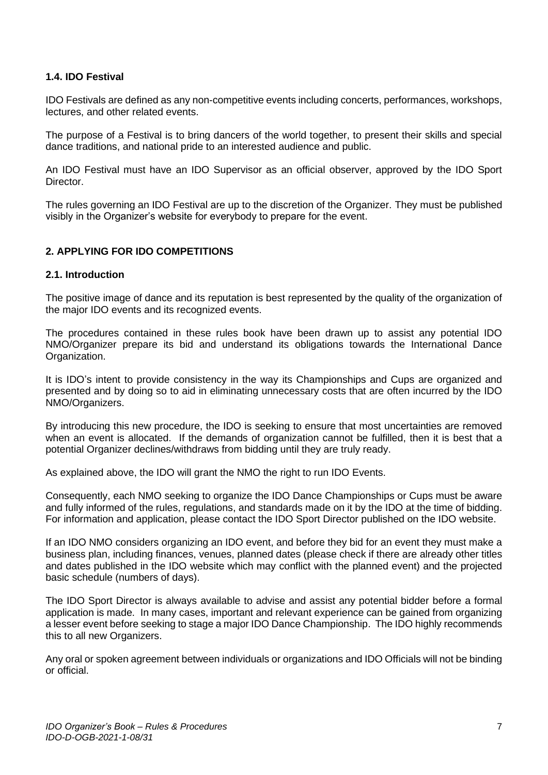#### <span id="page-7-0"></span>**1.4. IDO Festival**

IDO Festivals are defined as any non-competitive events including concerts, performances, workshops, lectures, and other related events.

The purpose of a Festival is to bring dancers of the world together, to present their skills and special dance traditions, and national pride to an interested audience and public.

An IDO Festival must have an IDO Supervisor as an official observer, approved by the IDO Sport Director.

The rules governing an IDO Festival are up to the discretion of the Organizer. They must be published visibly in the Organizer's website for everybody to prepare for the event.

## <span id="page-7-1"></span>**2. APPLYING FOR IDO COMPETITIONS**

#### <span id="page-7-2"></span>**2.1. Introduction**

The positive image of dance and its reputation is best represented by the quality of the organization of the major IDO events and its recognized events.

The procedures contained in these rules book have been drawn up to assist any potential IDO NMO/Organizer prepare its bid and understand its obligations towards the International Dance Organization.

It is IDO's intent to provide consistency in the way its Championships and Cups are organized and presented and by doing so to aid in eliminating unnecessary costs that are often incurred by the IDO NMO/Organizers.

By introducing this new procedure, the IDO is seeking to ensure that most uncertainties are removed when an event is allocated. If the demands of organization cannot be fulfilled, then it is best that a potential Organizer declines/withdraws from bidding until they are truly ready.

As explained above, the IDO will grant the NMO the right to run IDO Events.

Consequently, each NMO seeking to organize the IDO Dance Championships or Cups must be aware and fully informed of the rules, regulations, and standards made on it by the IDO at the time of bidding. For information and application, please contact the IDO Sport Director published on the IDO website.

If an IDO NMO considers organizing an IDO event, and before they bid for an event they must make a business plan, including finances, venues, planned dates (please check if there are already other titles and dates published in the IDO website which may conflict with the planned event) and the projected basic schedule (numbers of days).

The IDO Sport Director is always available to advise and assist any potential bidder before a formal application is made. In many cases, important and relevant experience can be gained from organizing a lesser event before seeking to stage a major IDO Dance Championship. The IDO highly recommends this to all new Organizers.

Any oral or spoken agreement between individuals or organizations and IDO Officials will not be binding or official.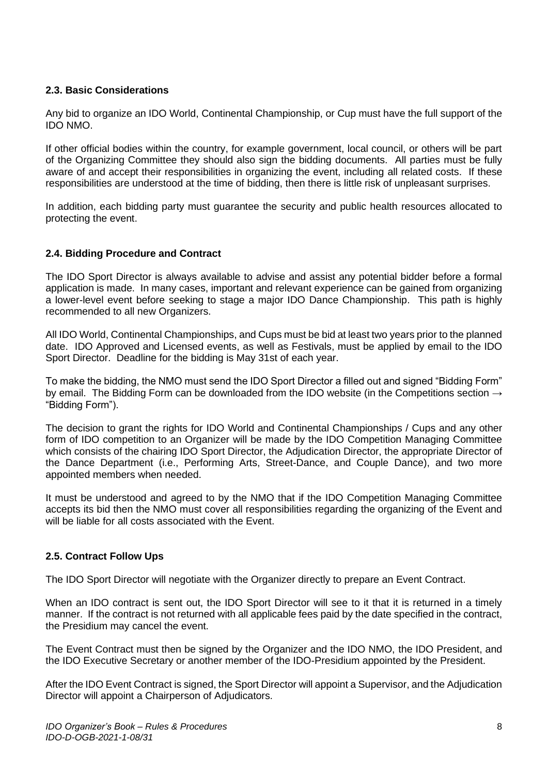## <span id="page-8-0"></span>**2.3. Basic Considerations**

Any bid to organize an IDO World, Continental Championship, or Cup must have the full support of the IDO NMO.

If other official bodies within the country, for example government, local council, or others will be part of the Organizing Committee they should also sign the bidding documents. All parties must be fully aware of and accept their responsibilities in organizing the event, including all related costs. If these responsibilities are understood at the time of bidding, then there is little risk of unpleasant surprises.

In addition, each bidding party must guarantee the security and public health resources allocated to protecting the event.

#### <span id="page-8-1"></span>**2.4. Bidding Procedure and Contract**

The IDO Sport Director is always available to advise and assist any potential bidder before a formal application is made. In many cases, important and relevant experience can be gained from organizing a lower-level event before seeking to stage a major IDO Dance Championship. This path is highly recommended to all new Organizers.

All IDO World, Continental Championships, and Cups must be bid at least two years prior to the planned date. IDO Approved and Licensed events, as well as Festivals, must be applied by email to the IDO Sport Director. Deadline for the bidding is May 31st of each year.

To make the bidding, the NMO must send the IDO Sport Director a filled out and signed "Bidding Form" by email. The Bidding Form can be downloaded from the IDO website (in the Competitions section  $\rightarrow$ "Bidding Form").

The decision to grant the rights for IDO World and Continental Championships / Cups and any other form of IDO competition to an Organizer will be made by the IDO Competition Managing Committee which consists of the chairing IDO Sport Director, the Adjudication Director, the appropriate Director of the Dance Department (i.e., Performing Arts, Street-Dance, and Couple Dance), and two more appointed members when needed.

It must be understood and agreed to by the NMO that if the IDO Competition Managing Committee accepts its bid then the NMO must cover all responsibilities regarding the organizing of the Event and will be liable for all costs associated with the Event.

## <span id="page-8-2"></span>**2.5. Contract Follow Ups**

The IDO Sport Director will negotiate with the Organizer directly to prepare an Event Contract.

When an IDO contract is sent out, the IDO Sport Director will see to it that it is returned in a timely manner. If the contract is not returned with all applicable fees paid by the date specified in the contract, the Presidium may cancel the event.

The Event Contract must then be signed by the Organizer and the IDO NMO, the IDO President, and the IDO Executive Secretary or another member of the IDO-Presidium appointed by the President.

After the IDO Event Contract is signed, the Sport Director will appoint a Supervisor, and the Adjudication Director will appoint a Chairperson of Adjudicators.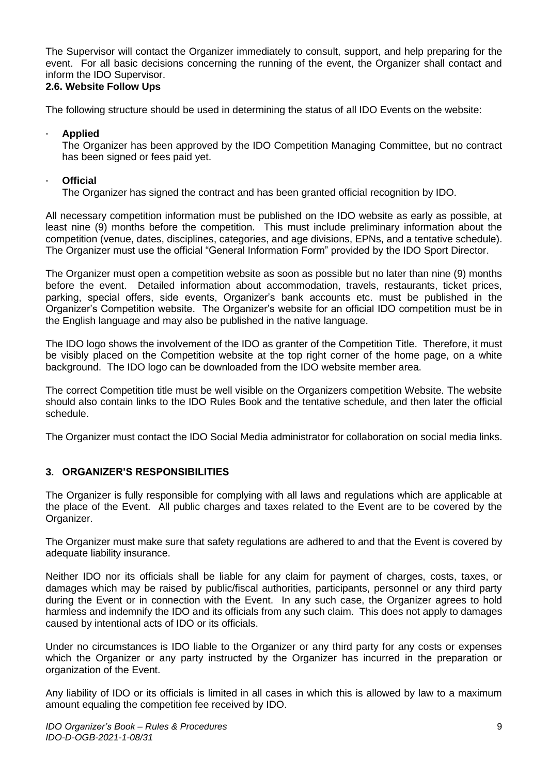The Supervisor will contact the Organizer immediately to consult, support, and help preparing for the event. For all basic decisions concerning the running of the event, the Organizer shall contact and inform the IDO Supervisor.

## <span id="page-9-0"></span>**2.6. Website Follow Ups**

The following structure should be used in determining the status of all IDO Events on the website:

#### · **Applied**

The Organizer has been approved by the IDO Competition Managing Committee, but no contract has been signed or fees paid vet.

## · **Official**

The Organizer has signed the contract and has been granted official recognition by IDO.

All necessary competition information must be published on the IDO website as early as possible, at least nine (9) months before the competition. This must include preliminary information about the competition (venue, dates, disciplines, categories, and age divisions, EPNs, and a tentative schedule). The Organizer must use the official "General Information Form" provided by the IDO Sport Director.

The Organizer must open a competition website as soon as possible but no later than nine (9) months before the event. Detailed information about accommodation, travels, restaurants, ticket prices, parking, special offers, side events, Organizer's bank accounts etc. must be published in the Organizer's Competition website. The Organizer's website for an official IDO competition must be in the English language and may also be published in the native language.

The IDO logo shows the involvement of the IDO as granter of the Competition Title. Therefore, it must be visibly placed on the Competition website at the top right corner of the home page, on a white background. The IDO logo can be downloaded from the IDO website member area.

The correct Competition title must be well visible on the Organizers competition Website. The website should also contain links to the IDO Rules Book and the tentative schedule, and then later the official schedule.

The Organizer must contact the IDO Social Media administrator for collaboration on social media links.

## <span id="page-9-1"></span>**3. ORGANIZER'S RESPONSIBILITIES**

The Organizer is fully responsible for complying with all laws and regulations which are applicable at the place of the Event. All public charges and taxes related to the Event are to be covered by the Organizer.

The Organizer must make sure that safety regulations are adhered to and that the Event is covered by adequate liability insurance.

Neither IDO nor its officials shall be liable for any claim for payment of charges, costs, taxes, or damages which may be raised by public/fiscal authorities, participants, personnel or any third party during the Event or in connection with the Event. In any such case, the Organizer agrees to hold harmless and indemnify the IDO and its officials from any such claim. This does not apply to damages caused by intentional acts of IDO or its officials.

Under no circumstances is IDO liable to the Organizer or any third party for any costs or expenses which the Organizer or any party instructed by the Organizer has incurred in the preparation or organization of the Event.

Any liability of IDO or its officials is limited in all cases in which this is allowed by law to a maximum amount equaling the competition fee received by IDO.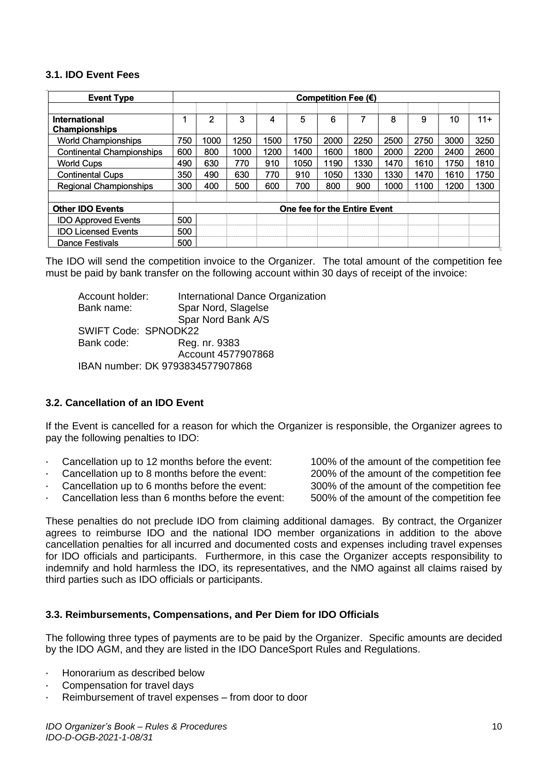#### **3.1. IDO Event Fees**

<span id="page-10-0"></span>

| <b>Event Type</b>                            | Competition Fee $(\epsilon)$ |                              |      |      |      |      |      |      |      |      |       |
|----------------------------------------------|------------------------------|------------------------------|------|------|------|------|------|------|------|------|-------|
| <b>International</b><br><b>Championships</b> |                              | 2                            | 3    | 4    | 5    | 6    |      | 8    | 9    | 10   | $11+$ |
| <b>World Championships</b>                   | 750                          | 1000                         | 1250 | 1500 | 1750 | 2000 | 2250 | 2500 | 2750 | 3000 | 3250  |
| <b>Continental Championships</b>             | 600                          | 800                          | 1000 | 1200 | 1400 | 1600 | 1800 | 2000 | 2200 | 2400 | 2600  |
| <b>World Cups</b>                            | 490                          | 630                          | 770  | 910  | 1050 | 1190 | 1330 | 1470 | 1610 | 1750 | 1810  |
| <b>Continental Cups</b>                      | 350                          | 490                          | 630  | 770  | 910  | 1050 | 1330 | 1330 | 1470 | 1610 | 1750  |
| <b>Regional Championships</b>                | 300                          | 400                          | 500  | 600  | 700  | 800  | 900  | 1000 | 1100 | 1200 | 1300  |
|                                              |                              |                              |      |      |      |      |      |      |      |      |       |
| <b>Other IDO Events</b>                      |                              | One fee for the Entire Event |      |      |      |      |      |      |      |      |       |
| <b>IDO Approved Events</b>                   | 500                          |                              |      |      |      |      |      |      |      |      |       |
| <b>IDO Licensed Events</b>                   | 500                          |                              |      |      |      |      |      |      |      |      |       |
| Dance Festivals                              | 500                          |                              |      |      |      |      |      |      |      |      |       |

The IDO will send the competition invoice to the Organizer. The total amount of the competition fee must be paid by bank transfer on the following account within 30 days of receipt of the invoice:

Account holder: International Dance Organization Bank name: Spar Nord, Slagelse Spar Nord Bank A/S SWIFT Code: SPNODK22 Bank code: Reg. nr. 9383 Account 4577907868 IBAN number: DK 9793834577907868

#### <span id="page-10-1"></span>**3.2. Cancellation of an IDO Event**

If the Event is cancelled for a reason for which the Organizer is responsible, the Organizer agrees to pay the following penalties to IDO:

- · Cancellation up to 12 months before the event: 100% of the amount of the competition fee
- · Cancellation up to 8 months before the event: 200% of the amount of the competition fee
- · Cancellation up to 6 months before the event: 300% of the amount of the competition fee
- Cancellation less than 6 months before the event: 500% of the amount of the competition fee

These penalties do not preclude IDO from claiming additional damages. By contract, the Organizer agrees to reimburse IDO and the national IDO member organizations in addition to the above cancellation penalties for all incurred and documented costs and expenses including travel expenses for IDO officials and participants. Furthermore, in this case the Organizer accepts responsibility to indemnify and hold harmless the IDO, its representatives, and the NMO against all claims raised by third parties such as IDO officials or participants.

#### <span id="page-10-2"></span>**3.3. Reimbursements, Compensations, and Per Diem for IDO Officials**

The following three types of payments are to be paid by the Organizer. Specific amounts are decided by the IDO AGM, and they are listed in the IDO DanceSport Rules and Regulations.

- Honorarium as described below
- Compensation for travel days
- Reimbursement of travel expenses from door to door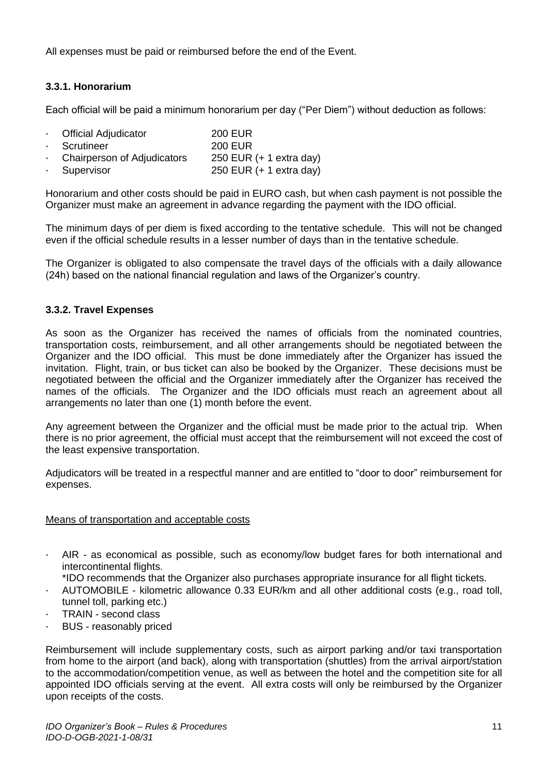All expenses must be paid or reimbursed before the end of the Event.

## <span id="page-11-0"></span>**3.3.1. Honorarium**

Each official will be paid a minimum honorarium per day ("Per Diem") without deduction as follows:

| Cfficial Adjudicator        | <b>200 EUR</b>                    |
|-----------------------------|-----------------------------------|
| · Scrutineer                | <b>200 EUR</b>                    |
| Chairperson of Adjudicators | 250 EUR $(+ 1 \text{ extra day})$ |
| · Supervisor                | 250 EUR $(+ 1 \text{ extra day})$ |

Honorarium and other costs should be paid in EURO cash, but when cash payment is not possible the Organizer must make an agreement in advance regarding the payment with the IDO official.

The minimum days of per diem is fixed according to the tentative schedule. This will not be changed even if the official schedule results in a lesser number of days than in the tentative schedule.

The Organizer is obligated to also compensate the travel days of the officials with a daily allowance (24h) based on the national financial regulation and laws of the Organizer's country.

## <span id="page-11-1"></span>**3.3.2. Travel Expenses**

As soon as the Organizer has received the names of officials from the nominated countries, transportation costs, reimbursement, and all other arrangements should be negotiated between the Organizer and the IDO official. This must be done immediately after the Organizer has issued the invitation. Flight, train, or bus ticket can also be booked by the Organizer. These decisions must be negotiated between the official and the Organizer immediately after the Organizer has received the names of the officials. The Organizer and the IDO officials must reach an agreement about all arrangements no later than one (1) month before the event.

Any agreement between the Organizer and the official must be made prior to the actual trip. When there is no prior agreement, the official must accept that the reimbursement will not exceed the cost of the least expensive transportation.

Adjudicators will be treated in a respectful manner and are entitled to "door to door" reimbursement for expenses.

#### Means of transportation and acceptable costs

- · AIR as economical as possible, such as economy/low budget fares for both international and intercontinental flights.
- \*IDO recommends that the Organizer also purchases appropriate insurance for all flight tickets.
- · AUTOMOBILE kilometric allowance 0.33 EUR/km and all other additional costs (e.g., road toll, tunnel toll, parking etc.)
- TRAIN second class
- BUS reasonably priced

Reimbursement will include supplementary costs, such as airport parking and/or taxi transportation from home to the airport (and back), along with transportation (shuttles) from the arrival airport/station to the accommodation/competition venue, as well as between the hotel and the competition site for all appointed IDO officials serving at the event. All extra costs will only be reimbursed by the Organizer upon receipts of the costs.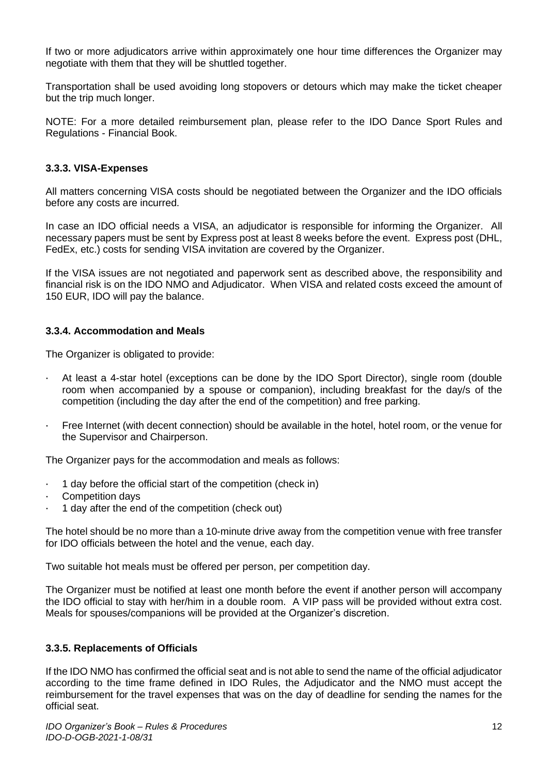If two or more adjudicators arrive within approximately one hour time differences the Organizer may negotiate with them that they will be shuttled together.

Transportation shall be used avoiding long stopovers or detours which may make the ticket cheaper but the trip much longer.

NOTE: For a more detailed reimbursement plan, please refer to the IDO Dance Sport Rules and Regulations - Financial Book.

#### <span id="page-12-0"></span>**3.3.3. VISA-Expenses**

All matters concerning VISA costs should be negotiated between the Organizer and the IDO officials before any costs are incurred.

In case an IDO official needs a VISA, an adjudicator is responsible for informing the Organizer. All necessary papers must be sent by Express post at least 8 weeks before the event. Express post (DHL, FedEx, etc.) costs for sending VISA invitation are covered by the Organizer.

If the VISA issues are not negotiated and paperwork sent as described above, the responsibility and financial risk is on the IDO NMO and Adjudicator. When VISA and related costs exceed the amount of 150 EUR, IDO will pay the balance.

#### <span id="page-12-1"></span>**3.3.4. Accommodation and Meals**

The Organizer is obligated to provide:

- · At least a 4-star hotel (exceptions can be done by the IDO Sport Director), single room (double room when accompanied by a spouse or companion), including breakfast for the day/s of the competition (including the day after the end of the competition) and free parking.
- Free Internet (with decent connection) should be available in the hotel, hotel room, or the venue for the Supervisor and Chairperson.

The Organizer pays for the accommodation and meals as follows:

- · 1 day before the official start of the competition (check in)
- Competition days
- · 1 day after the end of the competition (check out)

The hotel should be no more than a 10-minute drive away from the competition venue with free transfer for IDO officials between the hotel and the venue, each day.

Two suitable hot meals must be offered per person, per competition day.

The Organizer must be notified at least one month before the event if another person will accompany the IDO official to stay with her/him in a double room. A VIP pass will be provided without extra cost. Meals for spouses/companions will be provided at the Organizer's discretion.

#### <span id="page-12-2"></span>**3.3.5. Replacements of Officials**

If the IDO NMO has confirmed the official seat and is not able to send the name of the official adjudicator according to the time frame defined in IDO Rules, the Adjudicator and the NMO must accept the reimbursement for the travel expenses that was on the day of deadline for sending the names for the official seat.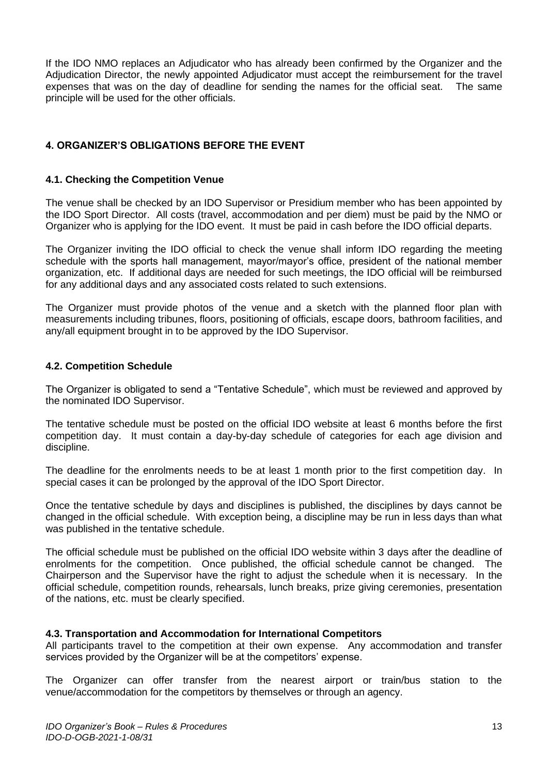If the IDO NMO replaces an Adjudicator who has already been confirmed by the Organizer and the Adjudication Director, the newly appointed Adjudicator must accept the reimbursement for the travel expenses that was on the day of deadline for sending the names for the official seat. The same principle will be used for the other officials.

## <span id="page-13-0"></span>**4. ORGANIZER'S OBLIGATIONS BEFORE THE EVENT**

#### <span id="page-13-1"></span>**4.1. Checking the Competition Venue**

The venue shall be checked by an IDO Supervisor or Presidium member who has been appointed by the IDO Sport Director. All costs (travel, accommodation and per diem) must be paid by the NMO or Organizer who is applying for the IDO event. It must be paid in cash before the IDO official departs.

The Organizer inviting the IDO official to check the venue shall inform IDO regarding the meeting schedule with the sports hall management, mayor/mayor's office, president of the national member organization, etc. If additional days are needed for such meetings, the IDO official will be reimbursed for any additional days and any associated costs related to such extensions.

The Organizer must provide photos of the venue and a sketch with the planned floor plan with measurements including tribunes, floors, positioning of officials, escape doors, bathroom facilities, and any/all equipment brought in to be approved by the IDO Supervisor.

#### <span id="page-13-2"></span>**4.2. Competition Schedule**

The Organizer is obligated to send a "Tentative Schedule", which must be reviewed and approved by the nominated IDO Supervisor.

The tentative schedule must be posted on the official IDO website at least 6 months before the first competition day. It must contain a day-by-day schedule of categories for each age division and discipline.

The deadline for the enrolments needs to be at least 1 month prior to the first competition day. In special cases it can be prolonged by the approval of the IDO Sport Director.

Once the tentative schedule by days and disciplines is published, the disciplines by days cannot be changed in the official schedule. With exception being, a discipline may be run in less days than what was published in the tentative schedule.

The official schedule must be published on the official IDO website within 3 days after the deadline of enrolments for the competition. Once published, the official schedule cannot be changed. The Chairperson and the Supervisor have the right to adjust the schedule when it is necessary. In the official schedule, competition rounds, rehearsals, lunch breaks, prize giving ceremonies, presentation of the nations, etc. must be clearly specified.

#### <span id="page-13-3"></span>**4.3. Transportation and Accommodation for International Competitors**

All participants travel to the competition at their own expense. Any accommodation and transfer services provided by the Organizer will be at the competitors' expense.

The Organizer can offer transfer from the nearest airport or train/bus station to the venue/accommodation for the competitors by themselves or through an agency.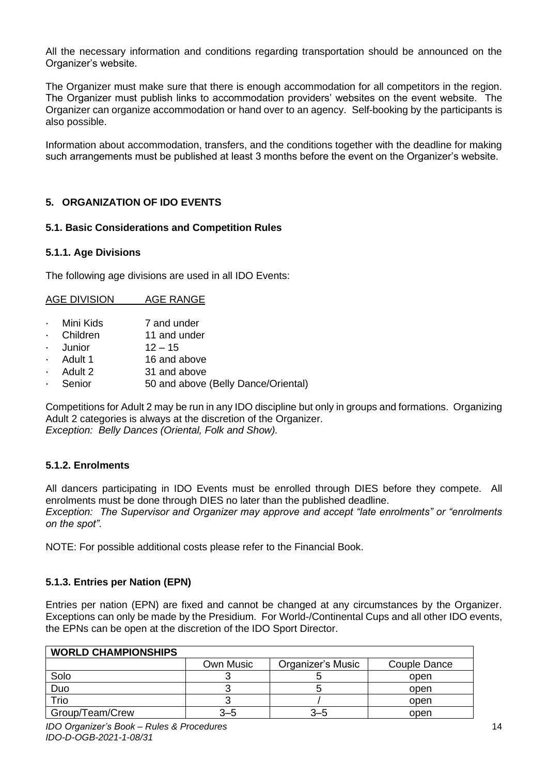All the necessary information and conditions regarding transportation should be announced on the Organizer's website.

The Organizer must make sure that there is enough accommodation for all competitors in the region. The Organizer must publish links to accommodation providers' websites on the event website. The Organizer can organize accommodation or hand over to an agency. Self-booking by the participants is also possible.

Information about accommodation, transfers, and the conditions together with the deadline for making such arrangements must be published at least 3 months before the event on the Organizer's website.

## <span id="page-14-0"></span>**5. ORGANIZATION OF IDO EVENTS**

#### <span id="page-14-1"></span>**5.1. Basic Considerations and Competition Rules**

#### <span id="page-14-2"></span>**5.1.1. Age Divisions**

The following age divisions are used in all IDO Events:

| <b>AGE DIVISION</b> | <b>AGE RANGE</b> |
|---------------------|------------------|
|---------------------|------------------|

- Mini Kids 7 and under
- Children 11 and under
- Junior  $12 15$
- Adult 1 16 and above
- Adult 2 31 and above
- Senior 50 and above (Belly Dance/Oriental)

Competitions for Adult 2 may be run in any IDO discipline but only in groups and formations. Organizing Adult 2 categories is always at the discretion of the Organizer. *Exception: Belly Dances (Oriental, Folk and Show).*

#### <span id="page-14-3"></span>**5.1.2. Enrolments**

All dancers participating in IDO Events must be enrolled through DIES before they compete. All enrolments must be done through DIES no later than the published deadline. *Exception: The Supervisor and Organizer may approve and accept "late enrolments" or "enrolments on the spot".* 

NOTE: For possible additional costs please refer to the Financial Book.

#### <span id="page-14-4"></span>**5.1.3. Entries per Nation (EPN)**

Entries per nation (EPN) are fixed and cannot be changed at any circumstances by the Organizer. Exceptions can only be made by the Presidium. For World-/Continental Cups and all other IDO events, the EPNs can be open at the discretion of the IDO Sport Director.

| <b>WORLD CHAMPIONSHIPS</b> |           |                   |              |
|----------------------------|-----------|-------------------|--------------|
|                            | Own Music | Organizer's Music | Couple Dance |
| Solo                       |           |                   | open         |
| Duo                        |           |                   | open         |
| Trio                       |           |                   | open         |
| Group/Team/Crew            | 3–5       | $3 - 5$           | open         |

## **WORLD CHAMPIONSHIPS**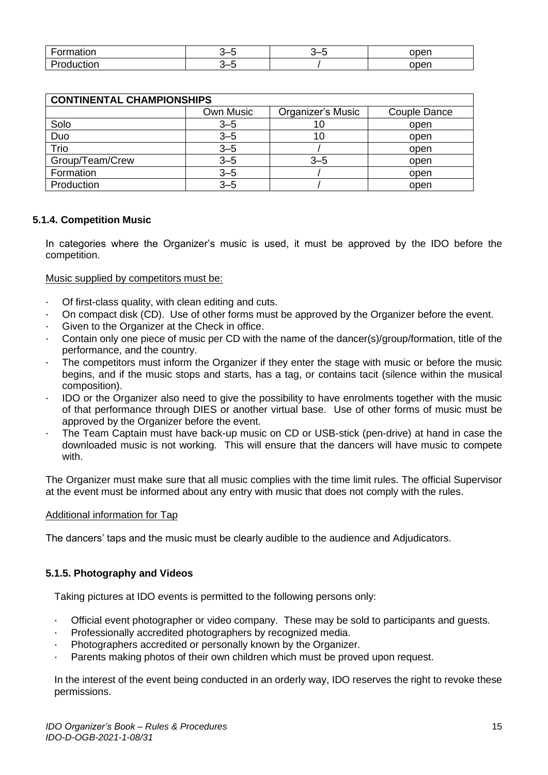| -<br>-ormation         | -<br>ີ | -<br>--<br>v | open |
|------------------------|--------|--------------|------|
| -<br>$\mathbf{r}$<br>. | -<br>ີ |              | open |

| <b>CONTINENTAL CHAMPIONSHIPS</b> |           |                   |              |  |  |  |
|----------------------------------|-----------|-------------------|--------------|--|--|--|
|                                  | Own Music | Organizer's Music | Couple Dance |  |  |  |
| Solo                             | $3 - 5$   | 10                | open         |  |  |  |
| Duo                              | $3 - 5$   | 10                | open         |  |  |  |
| Trio                             | $3 - 5$   |                   | open         |  |  |  |
| Group/Team/Crew                  | $3 - 5$   | $3 - 5$           | open         |  |  |  |
| Formation                        | $3 - 5$   |                   | open         |  |  |  |
| Production                       | $3 - 5$   |                   | open         |  |  |  |

## <span id="page-15-0"></span>**5.1.4. Competition Music**

In categories where the Organizer's music is used, it must be approved by the IDO before the competition.

## Music supplied by competitors must be:

- · Of first-class quality, with clean editing and cuts.
- · On compact disk (CD). Use of other forms must be approved by the Organizer before the event.
- Given to the Organizer at the Check in office.
- · Contain only one piece of music per CD with the name of the dancer(s)/group/formation, title of the performance, and the country.
- The competitors must inform the Organizer if they enter the stage with music or before the music begins, and if the music stops and starts, has a tag, or contains tacit (silence within the musical composition).
- · IDO or the Organizer also need to give the possibility to have enrolments together with the music of that performance through DIES or another virtual base. Use of other forms of music must be approved by the Organizer before the event.
- · The Team Captain must have back-up music on CD or USB-stick (pen-drive) at hand in case the downloaded music is not working. This will ensure that the dancers will have music to compete with.

The Organizer must make sure that all music complies with the time limit rules. The official Supervisor at the event must be informed about any entry with music that does not comply with the rules.

#### Additional information for Tap

The dancers' taps and the music must be clearly audible to the audience and Adjudicators.

#### <span id="page-15-1"></span>**5.1.5. Photography and Videos**

Taking pictures at IDO events is permitted to the following persons only:

- · Official event photographer or video company. These may be sold to participants and guests.
- · Professionally accredited photographers by recognized media.
- Photographers accredited or personally known by the Organizer.
- Parents making photos of their own children which must be proved upon request.

In the interest of the event being conducted in an orderly way, IDO reserves the right to revoke these permissions.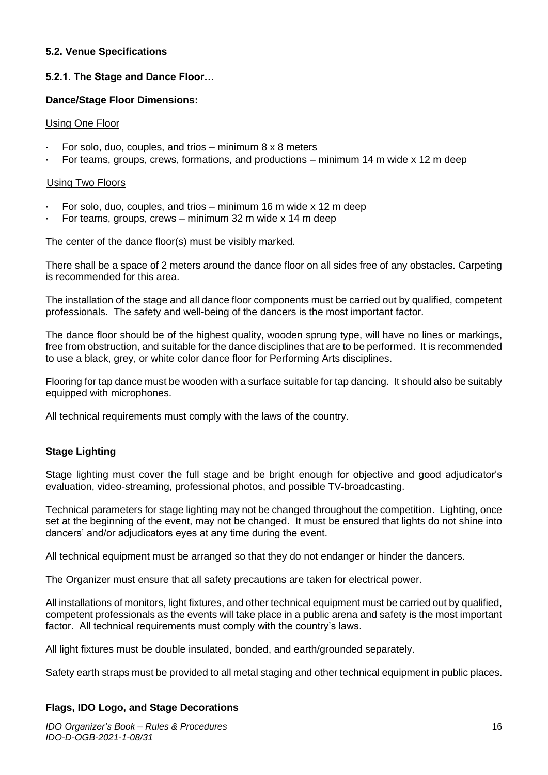## <span id="page-16-0"></span>**5.2. Venue Specifications**

## <span id="page-16-1"></span>**5.2.1. The Stage and Dance Floor…**

#### **Dance/Stage Floor Dimensions:**

#### Using One Floor

- $\cdot$  For solo, duo, couples, and trios minimum 8 x 8 meters
- For teams, groups, crews, formations, and productions minimum 14 m wide x 12 m deep

#### Using Two Floors

- For solo, duo, couples, and trios minimum 16 m wide x 12 m deep
- For teams, groups, crews minimum 32 m wide x 14 m deep

The center of the dance floor(s) must be visibly marked.

There shall be a space of 2 meters around the dance floor on all sides free of any obstacles. Carpeting is recommended for this area.

The installation of the stage and all dance floor components must be carried out by qualified, competent professionals. The safety and well-being of the dancers is the most important factor.

The dance floor should be of the highest quality, wooden sprung type, will have no lines or markings, free from obstruction, and suitable for the dance disciplines that are to be performed. It is recommended to use a black, grey, or white color dance floor for Performing Arts disciplines.

Flooring for tap dance must be wooden with a surface suitable for tap dancing. It should also be suitably equipped with microphones.

All technical requirements must comply with the laws of the country.

## **Stage Lighting**

Stage lighting must cover the full stage and be bright enough for objective and good adjudicator's evaluation, video-streaming, professional photos, and possible TV broadcasting.

Technical parameters for stage lighting may not be changed throughout the competition. Lighting, once set at the beginning of the event, may not be changed. It must be ensured that lights do not shine into dancers' and/or adjudicators eyes at any time during the event.

All technical equipment must be arranged so that they do not endanger or hinder the dancers.

The Organizer must ensure that all safety precautions are taken for electrical power.

All installations of monitors, light fixtures, and other technical equipment must be carried out by qualified, competent professionals as the events will take place in a public arena and safety is the most important factor. All technical requirements must comply with the country's laws.

All light fixtures must be double insulated, bonded, and earth/grounded separately.

Safety earth straps must be provided to all metal staging and other technical equipment in public places.

#### **Flags, IDO Logo, and Stage Decorations**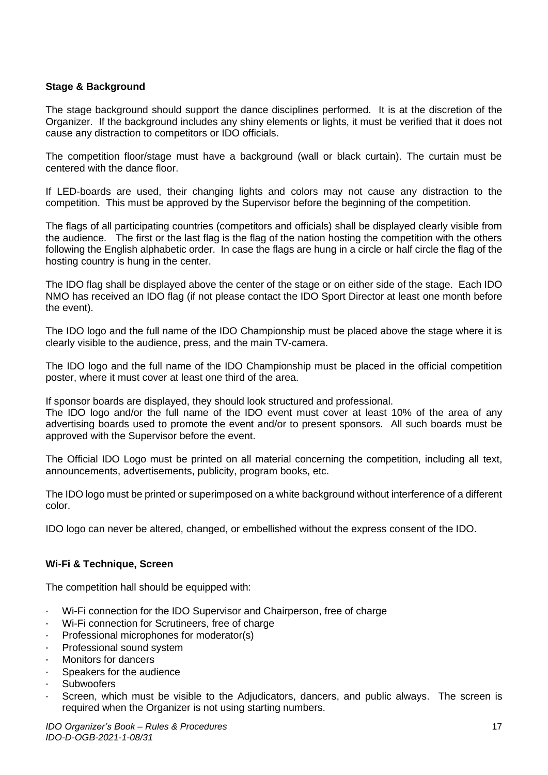## **Stage & Background**

The stage background should support the dance disciplines performed. It is at the discretion of the Organizer. If the background includes any shiny elements or lights, it must be verified that it does not cause any distraction to competitors or IDO officials.

The competition floor/stage must have a background (wall or black curtain). The curtain must be centered with the dance floor.

If LED-boards are used, their changing lights and colors may not cause any distraction to the competition. This must be approved by the Supervisor before the beginning of the competition.

The flags of all participating countries (competitors and officials) shall be displayed clearly visible from the audience. The first or the last flag is the flag of the nation hosting the competition with the others following the English alphabetic order. In case the flags are hung in a circle or half circle the flag of the hosting country is hung in the center.

The IDO flag shall be displayed above the center of the stage or on either side of the stage. Each IDO NMO has received an IDO flag (if not please contact the IDO Sport Director at least one month before the event).

The IDO logo and the full name of the IDO Championship must be placed above the stage where it is clearly visible to the audience, press, and the main TV-camera.

The IDO logo and the full name of the IDO Championship must be placed in the official competition poster, where it must cover at least one third of the area.

If sponsor boards are displayed, they should look structured and professional.

The IDO logo and/or the full name of the IDO event must cover at least 10% of the area of any advertising boards used to promote the event and/or to present sponsors. All such boards must be approved with the Supervisor before the event.

The Official IDO Logo must be printed on all material concerning the competition, including all text, announcements, advertisements, publicity, program books, etc.

The IDO logo must be printed or superimposed on a white background without interference of a different color.

IDO logo can never be altered, changed, or embellished without the express consent of the IDO.

#### **Wi-Fi & Technique, Screen**

The competition hall should be equipped with:

- · Wi-Fi connection for the IDO Supervisor and Chairperson, free of charge
- Wi-Fi connection for Scrutineers, free of charge
- Professional microphones for moderator(s)
- · Professional sound system
- Monitors for dancers
- Speakers for the audience
- **Subwoofers**
- Screen, which must be visible to the Adjudicators, dancers, and public always. The screen is required when the Organizer is not using starting numbers.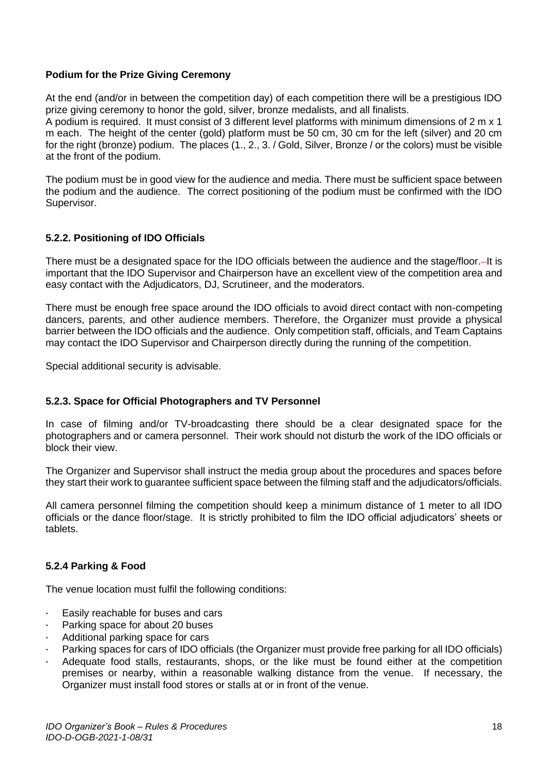## **Podium for the Prize Giving Ceremony**

At the end (and/or in between the competition day) of each competition there will be a prestigious IDO prize giving ceremony to honor the gold, silver, bronze medalists, and all finalists. A podium is required. It must consist of 3 different level platforms with minimum dimensions of 2 m x 1

m each. The height of the center (gold) platform must be 50 cm, 30 cm for the left (silver) and 20 cm for the right (bronze) podium. The places (1., 2., 3. / Gold, Silver, Bronze / or the colors) must be visible at the front of the podium.

The podium must be in good view for the audience and media. There must be sufficient space between the podium and the audience. The correct positioning of the podium must be confirmed with the IDO Supervisor.

## <span id="page-18-0"></span>**5.2.2. Positioning of IDO Officials**

There must be a designated space for the IDO officials between the audience and the stage/floor. It is important that the IDO Supervisor and Chairperson have an excellent view of the competition area and easy contact with the Adjudicators, DJ, Scrutineer, and the moderators.

There must be enough free space around the IDO officials to avoid direct contact with non-competing dancers, parents, and other audience members. Therefore, the Organizer must provide a physical barrier between the IDO officials and the audience. Only competition staff, officials, and Team Captains may contact the IDO Supervisor and Chairperson directly during the running of the competition.

Special additional security is advisable.

#### <span id="page-18-1"></span>**5.2.3. Space for Official Photographers and TV Personnel**

In case of filming and/or TV-broadcasting there should be a clear designated space for the photographers and or camera personnel. Their work should not disturb the work of the IDO officials or block their view.

The Organizer and Supervisor shall instruct the media group about the procedures and spaces before they start their work to guarantee sufficient space between the filming staff and the adjudicators/officials.

All camera personnel filming the competition should keep a minimum distance of 1 meter to all IDO officials or the dance floor/stage. It is strictly prohibited to film the IDO official adjudicators' sheets or tablets.

#### <span id="page-18-2"></span>**5.2.4 Parking & Food**

The venue location must fulfil the following conditions:

- Easily reachable for buses and cars
- Parking space for about 20 buses
- Additional parking space for cars
- Parking spaces for cars of IDO officials (the Organizer must provide free parking for all IDO officials)
- Adequate food stalls, restaurants, shops, or the like must be found either at the competition premises or nearby, within a reasonable walking distance from the venue. If necessary, the Organizer must install food stores or stalls at or in front of the venue.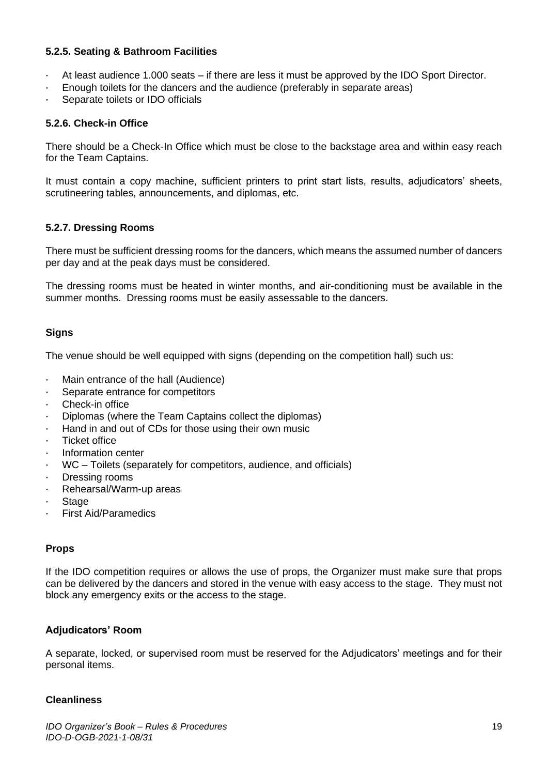## <span id="page-19-0"></span>**5.2.5. Seating & Bathroom Facilities**

- At least audience 1.000 seats if there are less it must be approved by the IDO Sport Director.
- Enough toilets for the dancers and the audience (preferably in separate areas)
- Separate toilets or IDO officials

#### <span id="page-19-1"></span>**5.2.6. Check-in Office**

There should be a Check-In Office which must be close to the backstage area and within easy reach for the Team Captains.

It must contain a copy machine, sufficient printers to print start lists, results, adjudicators' sheets, scrutineering tables, announcements, and diplomas, etc.

#### <span id="page-19-2"></span>**5.2.7. Dressing Rooms**

There must be sufficient dressing rooms for the dancers, which means the assumed number of dancers per day and at the peak days must be considered.

The dressing rooms must be heated in winter months, and air-conditioning must be available in the summer months. Dressing rooms must be easily assessable to the dancers.

#### **Signs**

The venue should be well equipped with signs (depending on the competition hall) such us:

- · Main entrance of the hall (Audience)
- Separate entrance for competitors
- Check-in office
- · Diplomas (where the Team Captains collect the diplomas)
- Hand in and out of CDs for those using their own music
- **Ticket office**
- · Information center
- WC Toilets (separately for competitors, audience, and officials)
- · Dressing rooms
- Rehearsal/Warm-up areas
- **Stage**
- First Aid/Paramedics

#### **Props**

If the IDO competition requires or allows the use of props, the Organizer must make sure that props can be delivered by the dancers and stored in the venue with easy access to the stage. They must not block any emergency exits or the access to the stage.

#### **Adjudicators' Room**

A separate, locked, or supervised room must be reserved for the Adjudicators' meetings and for their personal items.

#### **Cleanliness**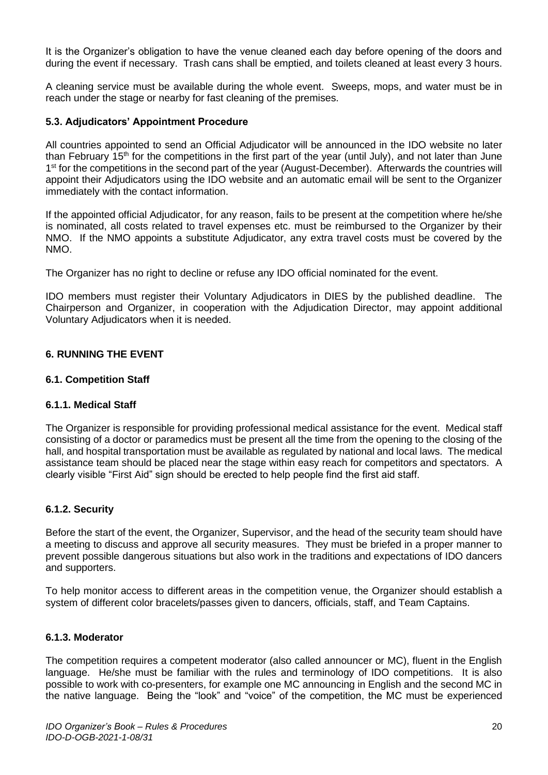It is the Organizer's obligation to have the venue cleaned each day before opening of the doors and during the event if necessary. Trash cans shall be emptied, and toilets cleaned at least every 3 hours.

A cleaning service must be available during the whole event. Sweeps, mops, and water must be in reach under the stage or nearby for fast cleaning of the premises.

#### <span id="page-20-0"></span>**5.3. Adjudicators' Appointment Procedure**

All countries appointed to send an Official Adjudicator will be announced in the IDO website no later than February 15<sup>th</sup> for the competitions in the first part of the year (until July), and not later than June 1<sup>st</sup> for the competitions in the second part of the year (August-December). Afterwards the countries will appoint their Adjudicators using the IDO website and an automatic email will be sent to the Organizer immediately with the contact information.

If the appointed official Adjudicator, for any reason, fails to be present at the competition where he/she is nominated, all costs related to travel expenses etc. must be reimbursed to the Organizer by their NMO. If the NMO appoints a substitute Adjudicator, any extra travel costs must be covered by the NMO.

The Organizer has no right to decline or refuse any IDO official nominated for the event.

IDO members must register their Voluntary Adjudicators in DIES by the published deadline. The Chairperson and Organizer, in cooperation with the Adjudication Director, may appoint additional Voluntary Adjudicators when it is needed.

#### <span id="page-20-1"></span>**6. RUNNING THE EVENT**

#### <span id="page-20-2"></span>**6.1. Competition Staff**

#### <span id="page-20-3"></span>**6.1.1. Medical Staff**

The Organizer is responsible for providing professional medical assistance for the event. Medical staff consisting of a doctor or paramedics must be present all the time from the opening to the closing of the hall, and hospital transportation must be available as regulated by national and local laws. The medical assistance team should be placed near the stage within easy reach for competitors and spectators. A clearly visible "First Aid" sign should be erected to help people find the first aid staff.

#### <span id="page-20-4"></span>**6.1.2. Security**

Before the start of the event, the Organizer, Supervisor, and the head of the security team should have a meeting to discuss and approve all security measures. They must be briefed in a proper manner to prevent possible dangerous situations but also work in the traditions and expectations of IDO dancers and supporters.

To help monitor access to different areas in the competition venue, the Organizer should establish a system of different color bracelets/passes given to dancers, officials, staff, and Team Captains.

#### <span id="page-20-5"></span>**6.1.3. Moderator**

The competition requires a competent moderator (also called announcer or MC), fluent in the English language. He/she must be familiar with the rules and terminology of IDO competitions. It is also possible to work with co-presenters, for example one MC announcing in English and the second MC in the native language. Being the "look" and "voice" of the competition, the MC must be experienced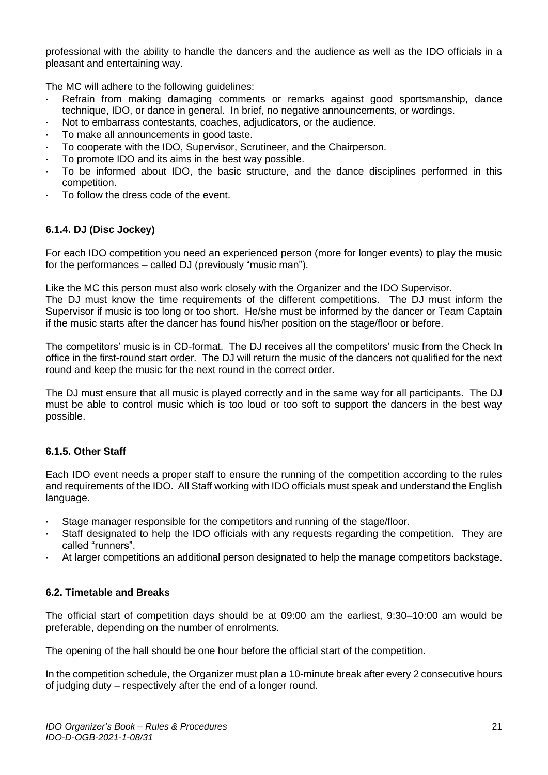professional with the ability to handle the dancers and the audience as well as the IDO officials in a pleasant and entertaining way.

The MC will adhere to the following guidelines:

- · Refrain from making damaging comments or remarks against good sportsmanship, dance technique, IDO, or dance in general. In brief, no negative announcements, or wordings.
- Not to embarrass contestants, coaches, adjudicators, or the audience.
- · To make all announcements in good taste.
- · To cooperate with the IDO, Supervisor, Scrutineer, and the Chairperson.
- To promote IDO and its aims in the best way possible.
- · To be informed about IDO, the basic structure, and the dance disciplines performed in this competition.
- To follow the dress code of the event.

## <span id="page-21-0"></span>**6.1.4. DJ (Disc Jockey)**

For each IDO competition you need an experienced person (more for longer events) to play the music for the performances – called DJ (previously "music man").

Like the MC this person must also work closely with the Organizer and the IDO Supervisor. The DJ must know the time requirements of the different competitions. The DJ must inform the Supervisor if music is too long or too short. He/she must be informed by the dancer or Team Captain if the music starts after the dancer has found his/her position on the stage/floor or before.

The competitors' music is in CD-format. The DJ receives all the competitors' music from the Check In office in the first-round start order. The DJ will return the music of the dancers not qualified for the next round and keep the music for the next round in the correct order.

The DJ must ensure that all music is played correctly and in the same way for all participants. The DJ must be able to control music which is too loud or too soft to support the dancers in the best way possible.

## <span id="page-21-1"></span>**6.1.5. Other Staff**

Each IDO event needs a proper staff to ensure the running of the competition according to the rules and requirements of the IDO. All Staff working with IDO officials must speak and understand the English language.

- · Stage manager responsible for the competitors and running of the stage/floor.
- Staff designated to help the IDO officials with any requests regarding the competition. They are called "runners".
- · At larger competitions an additional person designated to help the manage competitors backstage.

## <span id="page-21-2"></span>**6.2. Timetable and Breaks**

The official start of competition days should be at 09:00 am the earliest, 9:30–10:00 am would be preferable, depending on the number of enrolments.

The opening of the hall should be one hour before the official start of the competition.

In the competition schedule, the Organizer must plan a 10-minute break after every 2 consecutive hours of judging duty – respectively after the end of a longer round.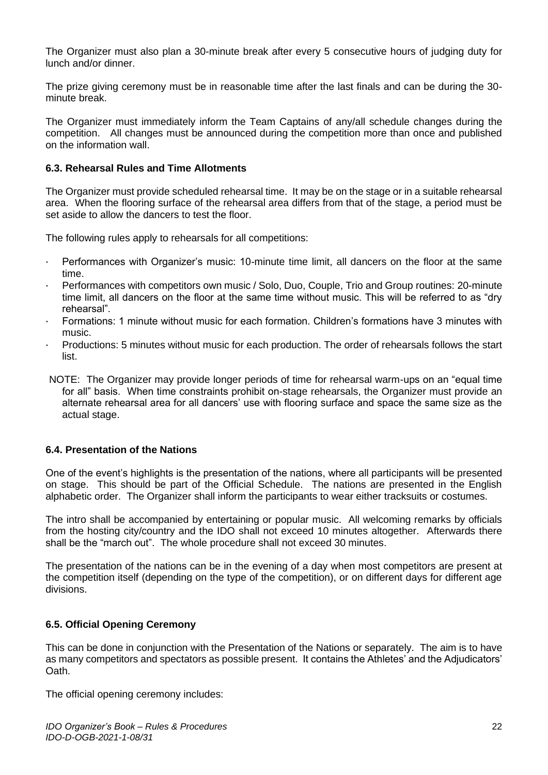The Organizer must also plan a 30-minute break after every 5 consecutive hours of judging duty for lunch and/or dinner.

The prize giving ceremony must be in reasonable time after the last finals and can be during the 30 minute break.

The Organizer must immediately inform the Team Captains of any/all schedule changes during the competition. All changes must be announced during the competition more than once and published on the information wall.

#### <span id="page-22-0"></span>**6.3. Rehearsal Rules and Time Allotments**

The Organizer must provide scheduled rehearsal time. It may be on the stage or in a suitable rehearsal area. When the flooring surface of the rehearsal area differs from that of the stage, a period must be set aside to allow the dancers to test the floor.

The following rules apply to rehearsals for all competitions:

- · Performances with Organizer's music: 10-minute time limit, all dancers on the floor at the same time.
- · Performances with competitors own music / Solo, Duo, Couple, Trio and Group routines: 20-minute time limit, all dancers on the floor at the same time without music. This will be referred to as "dry rehearsal".
- · Formations: 1 minute without music for each formation. Children's formations have 3 minutes with music.
- · Productions: 5 minutes without music for each production. The order of rehearsals follows the start list.
- NOTE: The Organizer may provide longer periods of time for rehearsal warm-ups on an "equal time for all" basis. When time constraints prohibit on-stage rehearsals, the Organizer must provide an alternate rehearsal area for all dancers' use with flooring surface and space the same size as the actual stage.

#### <span id="page-22-1"></span>**6.4. Presentation of the Nations**

One of the event's highlights is the presentation of the nations, where all participants will be presented on stage. This should be part of the Official Schedule. The nations are presented in the English alphabetic order. The Organizer shall inform the participants to wear either tracksuits or costumes.

The intro shall be accompanied by entertaining or popular music. All welcoming remarks by officials from the hosting city/country and the IDO shall not exceed 10 minutes altogether. Afterwards there shall be the "march out". The whole procedure shall not exceed 30 minutes.

The presentation of the nations can be in the evening of a day when most competitors are present at the competition itself (depending on the type of the competition), or on different days for different age divisions.

## <span id="page-22-2"></span>**6.5. Official Opening Ceremony**

This can be done in conjunction with the Presentation of the Nations or separately. The aim is to have as many competitors and spectators as possible present. It contains the Athletes' and the Adjudicators' Oath.

The official opening ceremony includes: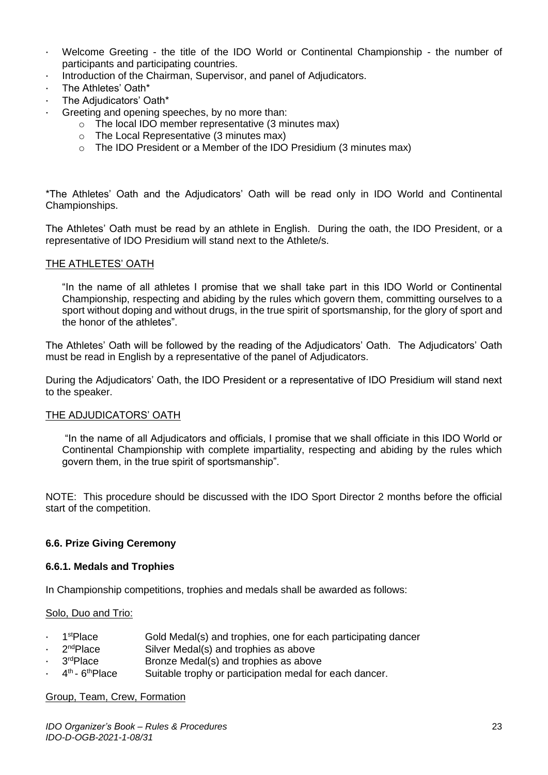- · Welcome Greeting the title of the IDO World or Continental Championship the number of participants and participating countries.
- Introduction of the Chairman, Supervisor, and panel of Adjudicators.
- The Athletes' Oath\*
- The Adjudicators' Oath\*
- Greeting and opening speeches, by no more than:
	- o The local IDO member representative (3 minutes max)
	- o The Local Representative (3 minutes max)
	- o The IDO President or a Member of the IDO Presidium (3 minutes max)

\*The Athletes' Oath and the Adjudicators' Oath will be read only in IDO World and Continental Championships.

The Athletes' Oath must be read by an athlete in English. During the oath, the IDO President, or a representative of IDO Presidium will stand next to the Athlete/s.

#### THE ATHLETES' OATH

"In the name of all athletes I promise that we shall take part in this IDO World or Continental Championship, respecting and abiding by the rules which govern them, committing ourselves to a sport without doping and without drugs, in the true spirit of sportsmanship, for the glory of sport and the honor of the athletes".

The Athletes' Oath will be followed by the reading of the Adjudicators' Oath. The Adjudicators' Oath must be read in English by a representative of the panel of Adjudicators.

During the Adjudicators' Oath, the IDO President or a representative of IDO Presidium will stand next to the speaker.

#### THE ADJUDICATORS' OATH

"In the name of all Adjudicators and officials, I promise that we shall officiate in this IDO World or Continental Championship with complete impartiality, respecting and abiding by the rules which govern them, in the true spirit of sportsmanship".

NOTE: This procedure should be discussed with the IDO Sport Director 2 months before the official start of the competition.

#### <span id="page-23-0"></span>**6.6. Prize Giving Ceremony**

#### <span id="page-23-1"></span>**6.6.1. Medals and Trophies**

In Championship competitions, trophies and medals shall be awarded as follows:

#### Solo, Duo and Trio:

- 1<sup>st</sup>Place Gold Medal(s) and trophies, one for each participating dancer
- 2<sup>nd</sup>Place Silver Medal(s) and trophies as above
- 3rdPlace Bronze Medal(s) and trophies as above
- $\cdot$  4<sup>th</sup> 6 Suitable trophy or participation medal for each dancer.

#### Group, Team, Crew, Formation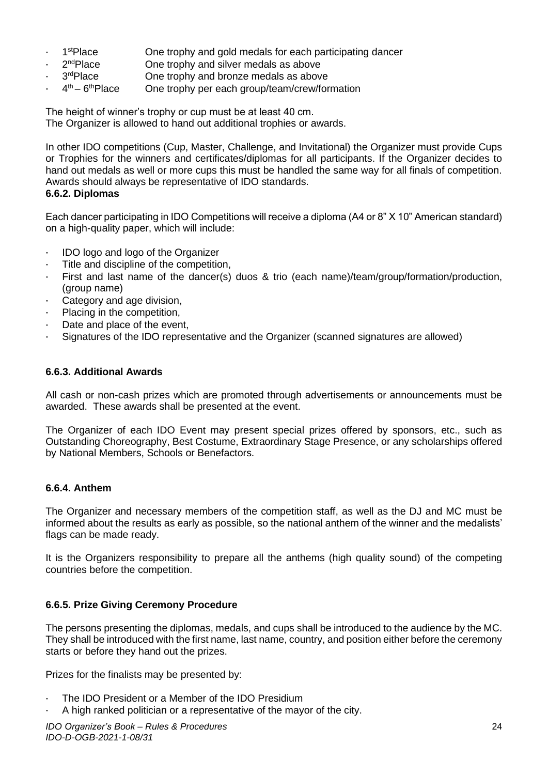- 1<sup>st</sup>Place One trophy and gold medals for each participating dancer
- 2<sup>nd</sup>Place One trophy and silver medals as above
	- 3rdPlace One trophy and bronze medals as above
- $\cdot$  4<sup>th</sup> 6 One trophy per each group/team/crew/formation

The height of winner's trophy or cup must be at least 40 cm. The Organizer is allowed to hand out additional trophies or awards.

In other IDO competitions (Cup, Master, Challenge, and Invitational) the Organizer must provide Cups or Trophies for the winners and certificates/diplomas for all participants. If the Organizer decides to hand out medals as well or more cups this must be handled the same way for all finals of competition. Awards should always be representative of IDO standards.

## <span id="page-24-0"></span>**6.6.2. Diplomas**

Each dancer participating in IDO Competitions will receive a diploma (A4 or 8" X 10" American standard) on a high-quality paper, which will include:

- · IDO logo and logo of the Organizer
- · Title and discipline of the competition,
- First and last name of the dancer(s) duos & trio (each name)/team/group/formation/production, (group name)
- · Category and age division,
- Placing in the competition,
- Date and place of the event,
- · Signatures of the IDO representative and the Organizer (scanned signatures are allowed)

## <span id="page-24-1"></span>**6.6.3. Additional Awards**

All cash or non-cash prizes which are promoted through advertisements or announcements must be awarded. These awards shall be presented at the event.

The Organizer of each IDO Event may present special prizes offered by sponsors, etc., such as Outstanding Choreography, Best Costume, Extraordinary Stage Presence, or any scholarships offered by National Members, Schools or Benefactors.

## <span id="page-24-2"></span>**6.6.4. Anthem**

The Organizer and necessary members of the competition staff, as well as the DJ and MC must be informed about the results as early as possible, so the national anthem of the winner and the medalists' flags can be made ready.

It is the Organizers responsibility to prepare all the anthems (high quality sound) of the competing countries before the competition.

## <span id="page-24-3"></span>**6.6.5. Prize Giving Ceremony Procedure**

The persons presenting the diplomas, medals, and cups shall be introduced to the audience by the MC. They shall be introduced with the first name, last name, country, and position either before the ceremony starts or before they hand out the prizes.

Prizes for the finalists may be presented by:

- The IDO President or a Member of the IDO Presidium
- · A high ranked politician or a representative of the mayor of the city.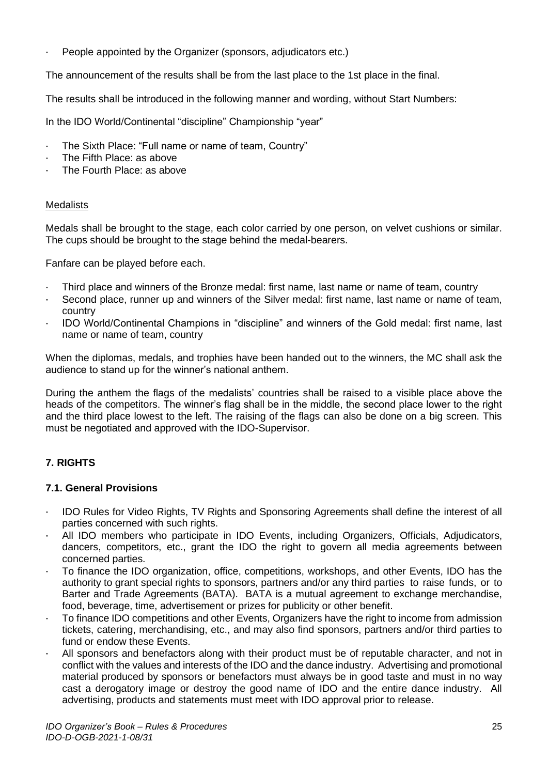People appointed by the Organizer (sponsors, adjudicators etc.)

The announcement of the results shall be from the last place to the 1st place in the final.

The results shall be introduced in the following manner and wording, without Start Numbers:

In the IDO World/Continental "discipline" Championship "year"

- The Sixth Place: "Full name or name of team, Country"
- The Fifth Place: as above
- The Fourth Place: as above

#### **Medalists**

Medals shall be brought to the stage, each color carried by one person, on velvet cushions or similar. The cups should be brought to the stage behind the medal-bearers.

Fanfare can be played before each.

- · Third place and winners of the Bronze medal: first name, last name or name of team, country
- Second place, runner up and winners of the Silver medal: first name, last name or name of team, country
- · IDO World/Continental Champions in "discipline" and winners of the Gold medal: first name, last name or name of team, country

When the diplomas, medals, and trophies have been handed out to the winners, the MC shall ask the audience to stand up for the winner's national anthem.

During the anthem the flags of the medalists' countries shall be raised to a visible place above the heads of the competitors. The winner's flag shall be in the middle, the second place lower to the right and the third place lowest to the left. The raising of the flags can also be done on a big screen. This must be negotiated and approved with the IDO-Supervisor.

## <span id="page-25-0"></span>**7. RIGHTS**

#### <span id="page-25-1"></span>**7.1. General Provisions**

- · IDO Rules for Video Rights, TV Rights and Sponsoring Agreements shall define the interest of all parties concerned with such rights.
- All IDO members who participate in IDO Events, including Organizers, Officials, Adjudicators, dancers, competitors, etc., grant the IDO the right to govern all media agreements between concerned parties.
- · To finance the IDO organization, office, competitions, workshops, and other Events, IDO has the authority to grant special rights to sponsors, partners and/or any third parties to raise funds, or to Barter and Trade Agreements (BATA). BATA is a mutual agreement to exchange merchandise, food, beverage, time, advertisement or prizes for publicity or other benefit.
- To finance IDO competitions and other Events, Organizers have the right to income from admission tickets, catering, merchandising, etc., and may also find sponsors, partners and/or third parties to fund or endow these Events.
- All sponsors and benefactors along with their product must be of reputable character, and not in conflict with the values and interests of the IDO and the dance industry. Advertising and promotional material produced by sponsors or benefactors must always be in good taste and must in no way cast a derogatory image or destroy the good name of IDO and the entire dance industry. All advertising, products and statements must meet with IDO approval prior to release.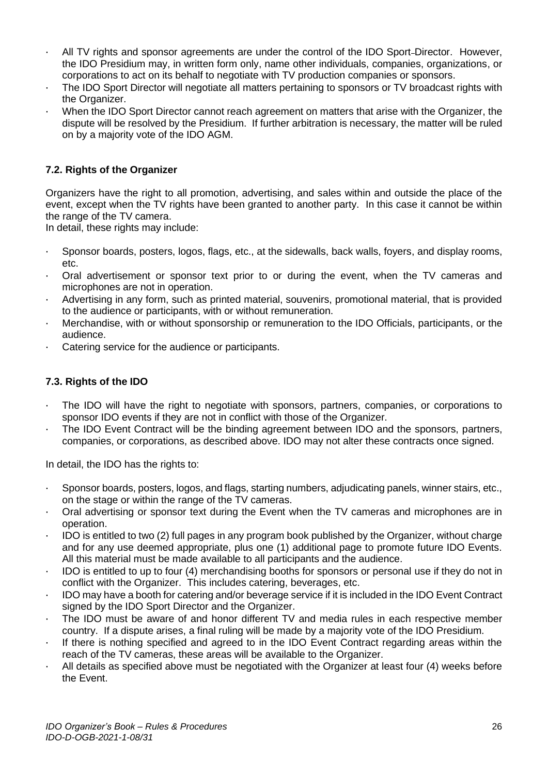- All TV rights and sponsor agreements are under the control of the IDO Sport-Director. However, the IDO Presidium may, in written form only, name other individuals, companies, organizations, or corporations to act on its behalf to negotiate with TV production companies or sponsors.
- The IDO Sport Director will negotiate all matters pertaining to sponsors or TV broadcast rights with the Organizer.
- When the IDO Sport Director cannot reach agreement on matters that arise with the Organizer, the dispute will be resolved by the Presidium. If further arbitration is necessary, the matter will be ruled on by a majority vote of the IDO AGM.

## <span id="page-26-0"></span>**7.2. Rights of the Organizer**

Organizers have the right to all promotion, advertising, and sales within and outside the place of the event, except when the TV rights have been granted to another party. In this case it cannot be within the range of the TV camera.

In detail, these rights may include:

- · Sponsor boards, posters, logos, flags, etc., at the sidewalls, back walls, foyers, and display rooms, etc.
- · Oral advertisement or sponsor text prior to or during the event, when the TV cameras and microphones are not in operation.
- Advertising in any form, such as printed material, souvenirs, promotional material, that is provided to the audience or participants, with or without remuneration.
- · Merchandise, with or without sponsorship or remuneration to the IDO Officials, participants, or the audience.
- Catering service for the audience or participants.

## <span id="page-26-1"></span>**7.3. Rights of the IDO**

- · The IDO will have the right to negotiate with sponsors, partners, companies, or corporations to sponsor IDO events if they are not in conflict with those of the Organizer.
- The IDO Event Contract will be the binding agreement between IDO and the sponsors, partners, companies, or corporations, as described above. IDO may not alter these contracts once signed.

In detail, the IDO has the rights to:

- · Sponsor boards, posters, logos, and flags, starting numbers, adjudicating panels, winner stairs, etc., on the stage or within the range of the TV cameras.
- · Oral advertising or sponsor text during the Event when the TV cameras and microphones are in operation.
- · IDO is entitled to two (2) full pages in any program book published by the Organizer, without charge and for any use deemed appropriate, plus one (1) additional page to promote future IDO Events. All this material must be made available to all participants and the audience.
- IDO is entitled to up to four (4) merchandising booths for sponsors or personal use if they do not in conflict with the Organizer. This includes catering, beverages, etc.
- · IDO may have a booth for catering and/or beverage service if it is included in the IDO Event Contract signed by the IDO Sport Director and the Organizer.
- The IDO must be aware of and honor different TV and media rules in each respective member country. If a dispute arises, a final ruling will be made by a majority vote of the IDO Presidium.
- · If there is nothing specified and agreed to in the IDO Event Contract regarding areas within the reach of the TV cameras, these areas will be available to the Organizer.
- All details as specified above must be negotiated with the Organizer at least four (4) weeks before the Event.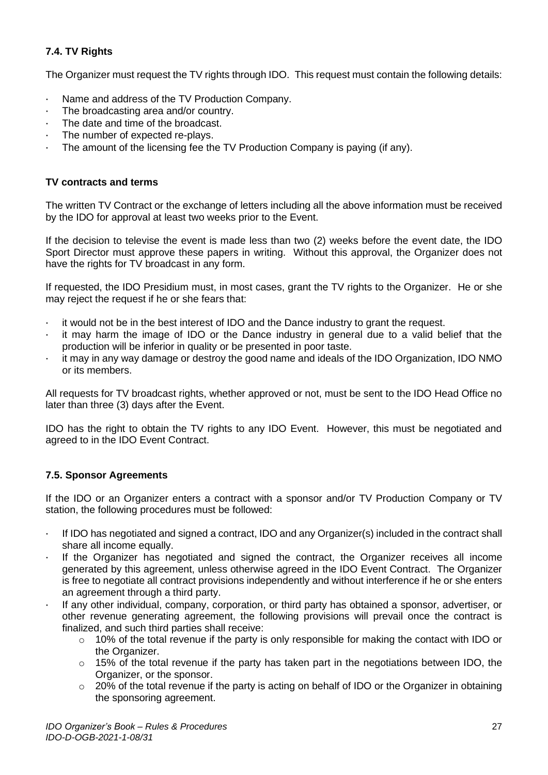## <span id="page-27-0"></span>**7.4. TV Rights**

The Organizer must request the TV rights through IDO. This request must contain the following details:

- Name and address of the TV Production Company.
- · The broadcasting area and/or country.
- The date and time of the broadcast.
- The number of expected re-plays.
- The amount of the licensing fee the TV Production Company is paying (if any).

## **TV contracts and terms**

The written TV Contract or the exchange of letters including all the above information must be received by the IDO for approval at least two weeks prior to the Event.

If the decision to televise the event is made less than two (2) weeks before the event date, the IDO Sport Director must approve these papers in writing. Without this approval, the Organizer does not have the rights for TV broadcast in any form.

If requested, the IDO Presidium must, in most cases, grant the TV rights to the Organizer. He or she may reject the request if he or she fears that:

- · it would not be in the best interest of IDO and the Dance industry to grant the request.
- · it may harm the image of IDO or the Dance industry in general due to a valid belief that the production will be inferior in quality or be presented in poor taste.
- · it may in any way damage or destroy the good name and ideals of the IDO Organization, IDO NMO or its members.

All requests for TV broadcast rights, whether approved or not, must be sent to the IDO Head Office no later than three (3) days after the Event.

IDO has the right to obtain the TV rights to any IDO Event. However, this must be negotiated and agreed to in the IDO Event Contract.

## <span id="page-27-1"></span>**7.5. Sponsor Agreements**

If the IDO or an Organizer enters a contract with a sponsor and/or TV Production Company or TV station, the following procedures must be followed:

- · If IDO has negotiated and signed a contract, IDO and any Organizer(s) included in the contract shall share all income equally.
- · If the Organizer has negotiated and signed the contract, the Organizer receives all income generated by this agreement, unless otherwise agreed in the IDO Event Contract. The Organizer is free to negotiate all contract provisions independently and without interference if he or she enters an agreement through a third party.
- · If any other individual, company, corporation, or third party has obtained a sponsor, advertiser, or other revenue generating agreement, the following provisions will prevail once the contract is finalized, and such third parties shall receive:
	- $\circ$  10% of the total revenue if the party is only responsible for making the contact with IDO or the Organizer.
	- $\circ$  15% of the total revenue if the party has taken part in the negotiations between IDO, the Organizer, or the sponsor.
	- $\degree$  20% of the total revenue if the party is acting on behalf of IDO or the Organizer in obtaining the sponsoring agreement.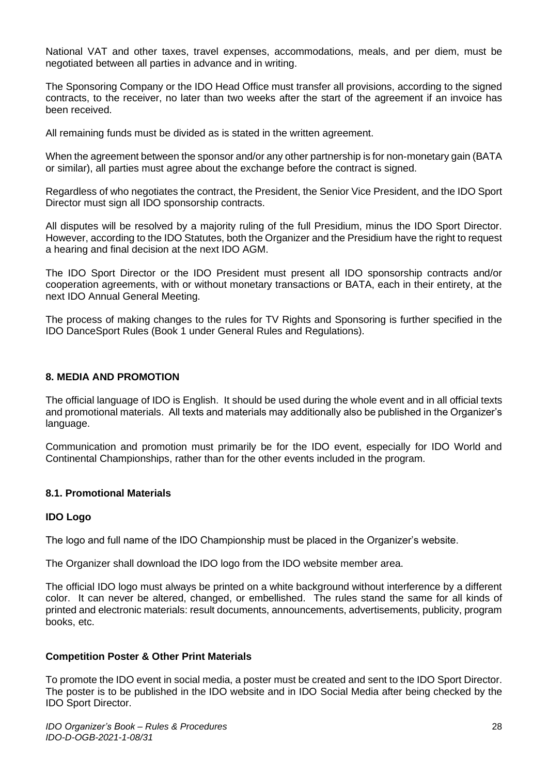National VAT and other taxes, travel expenses, accommodations, meals, and per diem, must be negotiated between all parties in advance and in writing.

The Sponsoring Company or the IDO Head Office must transfer all provisions, according to the signed contracts, to the receiver, no later than two weeks after the start of the agreement if an invoice has been received.

All remaining funds must be divided as is stated in the written agreement.

When the agreement between the sponsor and/or any other partnership is for non-monetary gain (BATA or similar), all parties must agree about the exchange before the contract is signed.

Regardless of who negotiates the contract, the President, the Senior Vice President, and the IDO Sport Director must sign all IDO sponsorship contracts.

All disputes will be resolved by a majority ruling of the full Presidium, minus the IDO Sport Director. However, according to the IDO Statutes, both the Organizer and the Presidium have the right to request a hearing and final decision at the next IDO AGM.

The IDO Sport Director or the IDO President must present all IDO sponsorship contracts and/or cooperation agreements, with or without monetary transactions or BATA, each in their entirety, at the next IDO Annual General Meeting.

The process of making changes to the rules for TV Rights and Sponsoring is further specified in the IDO DanceSport Rules (Book 1 under General Rules and Regulations).

#### <span id="page-28-0"></span>**8. MEDIA AND PROMOTION**

The official language of IDO is English. It should be used during the whole event and in all official texts and promotional materials. All texts and materials may additionally also be published in the Organizer's language.

Communication and promotion must primarily be for the IDO event, especially for IDO World and Continental Championships, rather than for the other events included in the program.

#### <span id="page-28-1"></span>**8.1. Promotional Materials**

#### **IDO Logo**

The logo and full name of the IDO Championship must be placed in the Organizer's website.

The Organizer shall download the IDO logo from the IDO website member area.

The official IDO logo must always be printed on a white background without interference by a different color. It can never be altered, changed, or embellished. The rules stand the same for all kinds of printed and electronic materials: result documents, announcements, advertisements, publicity, program books, etc.

#### **Competition Poster & Other Print Materials**

To promote the IDO event in social media, a poster must be created and sent to the IDO Sport Director. The poster is to be published in the IDO website and in IDO Social Media after being checked by the IDO Sport Director.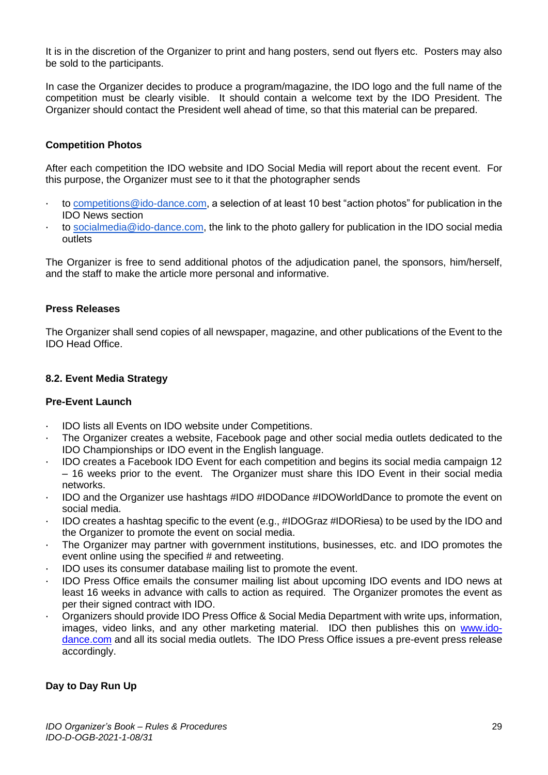It is in the discretion of the Organizer to print and hang posters, send out flyers etc. Posters may also be sold to the participants.

In case the Organizer decides to produce a program/magazine, the IDO logo and the full name of the competition must be clearly visible. It should contain a welcome text by the IDO President. The Organizer should contact the President well ahead of time, so that this material can be prepared.

#### **Competition Photos**

After each competition the IDO website and IDO Social Media will report about the recent event. For this purpose, the Organizer must see to it that the photographer sends

- · to [competitions@ido-dance.com,](mailto:competitions@ido-dance.com) a selection of at least 10 best "action photos" for publication in the IDO News section
- to [socialmedia@ido-dance.com,](mailto:socialmedia@ido-dance.com) the link to the photo gallery for publication in the IDO social media outlets

The Organizer is free to send additional photos of the adjudication panel, the sponsors, him/herself, and the staff to make the article more personal and informative.

#### **Press Releases**

The Organizer shall send copies of all newspaper, magazine, and other publications of the Event to the IDO Head Office.

## <span id="page-29-0"></span>**8.2. Event Media Strategy**

#### **Pre-Event Launch**

- · IDO lists all Events on IDO website under Competitions.
- The Organizer creates a website, Facebook page and other social media outlets dedicated to the IDO Championships or IDO event in the English language.
- · IDO creates a Facebook IDO Event for each competition and begins its social media campaign 12 – 16 weeks prior to the event. The Organizer must share this IDO Event in their social media networks.
- · IDO and the Organizer use hashtags #IDO #IDODance #IDOWorldDance to promote the event on social media.
- · IDO creates a hashtag specific to the event (e.g., #IDOGraz #IDORiesa) to be used by the IDO and the Organizer to promote the event on social media.
- The Organizer may partner with government institutions, businesses, etc. and IDO promotes the event online using the specified # and retweeting.
- IDO uses its consumer database mailing list to promote the event.
- · IDO Press Office emails the consumer mailing list about upcoming IDO events and IDO news at least 16 weeks in advance with calls to action as required. The Organizer promotes the event as per their signed contract with IDO.
- · Organizers should provide IDO Press Office & Social Media Department with write ups, information, images, video links, and any other marketing material. IDO then publishes this on [www.ido](http://www.ido-dance.com/)[dance.com](http://www.ido-dance.com/) and all its social media outlets. The IDO Press Office issues a pre-event press release accordingly.

#### **Day to Day Run Up**